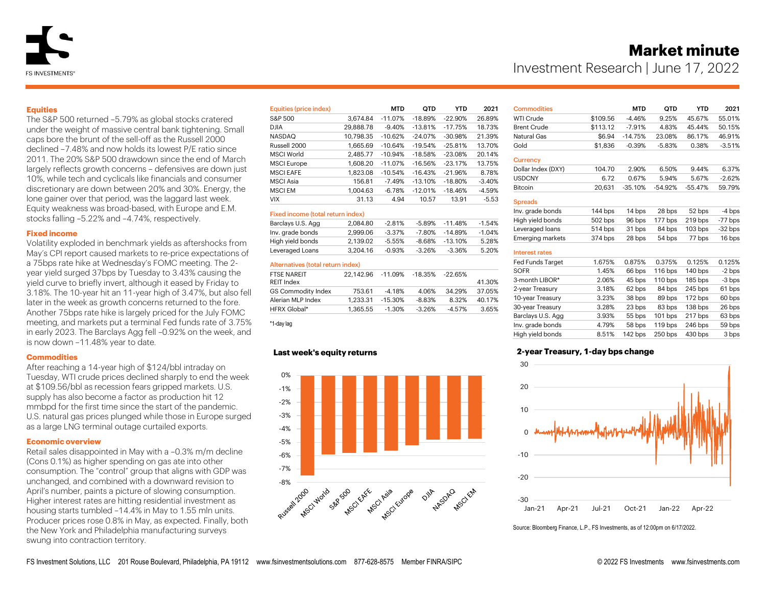# **Market minute**

Investment Research | June 17, 2022

# **Equities**

The S&P 500 returned –5.79% as global stocks cratered under the weight of massive central bank tightening. Small caps bore the brunt of the sell-off as the Russell 2000 declined –7.48% and now holds its lowest P/E ratio since 2011. The 20% S&P 500 drawdown since the end of March largely reflects growth concerns – defensives are down just 10%, while tech and cyclicals like financials and consumer discretionary are down between 20% and 30%. Energy, the lone gainer over that period, was the laggard last week. Equity weakness was broad-based, with Europe and E.M. stocks falling –5.22% and –4.74%, respectively.

# **Fixed income**

Volatility exploded in benchmark yields as aftershocks from May's CPI report caused markets to re-price expectations of a 75bps rate hike at Wednesday's FOMC meeting. The 2 year yield surged 37bps by Tuesday to 3.43% causing the yield curve to briefly invert, although it eased by Friday to 3.18%. The 10-year hit an 11-year high of 3.47%, but also fell later in the week as growth concerns returned to the fore. Another 75bps rate hike is largely priced for the July FOMC meeting, and markets put a terminal Fed funds rate of 3.75% in early 2023. The Barclays Agg fell –0.92% on the week, and is now down –11.48% year to date.

# **Commodities**

After reaching a 14-year high of \$124/bbl intraday on Tuesday, WTI crude prices declined sharply to end the week at \$109.56/bbl as recession fears gripped markets. U.S. supply has also become a factor as production hit 12 mmbpd for the first time since the start of the pandemic. U.S. natural gas prices plunged while those in Europe surged as a large LNG terminal outage curtailed exports.

# **Economic overview**

Retail sales disappointed in May with a –0.3% m/m decline (Cons 0.1%) as higher spending on gas ate into other consumption. The "control" group that aligns with GDP was unchanged, and combined with a downward revision to April's number, paints a picture of slowing consumption. Higher interest rates are hitting residential investment as housing starts tumbled –14.4% in May to 1.55 mln units. Producer prices rose 0.8% in May, as expected. Finally, both the New York and Philadelphia manufacturing surveys swung into contraction territory.

| Equities (price index) |           | <b>MTD</b> | QTD       | YTD       | 2021     |
|------------------------|-----------|------------|-----------|-----------|----------|
| S&P 500                | 3.674.84  | $-11.07%$  | $-18.89%$ | $-22.90%$ | 26.89%   |
| <b>DJIA</b>            | 29,888.78 | $-9.40%$   | $-13.81%$ | $-17.75%$ | 18.73%   |
| <b>NASDAQ</b>          | 10.798.35 | $-10.62%$  | $-24.07%$ | $-30.98%$ | 21.39%   |
| Russell 2000           | 1.665.69  | $-10.64%$  | $-19.54%$ | $-25.81%$ | 13.70%   |
| MSCI World             | 2.485.77  | $-10.94%$  | $-18.58%$ | $-23.08%$ | 20.14%   |
| <b>MSCI</b> Europe     | 1.608.20  | $-11.07%$  | $-16.56%$ | $-23.17%$ | 13.75%   |
| <b>MSCLEAFE</b>        | 1.823.08  | $-10.54%$  | $-16.43%$ | $-21.96%$ | 8.78%    |
| <b>MSCI</b> Asia       | 156.81    | $-7.49%$   | $-13.10%$ | $-18.80%$ | $-3.40%$ |
| <b>MSCLEM</b>          | 1.004.63  | $-6.78%$   | $-12.01%$ | $-18.46%$ | $-4.59%$ |
| <b>VIX</b>             | 31.13     | 4.94       | 10.57     | 13.91     | $-5.53$  |

## Fixed income (total return index)

| Barclays U.S. Agg | 2.084.80 | $-2.81%$  | $-5.89%$  | $-11.48%$  | $-1.54%$ |
|-------------------|----------|-----------|-----------|------------|----------|
| Inv. grade bonds  | 2.999.06 | $-3.37\%$ | $-7.80\%$ | -14.89%    | $-1.04%$ |
| High yield bonds  | 2.139.02 | $-5.55%$  | $-8.68\%$ | $-13.10\%$ | 5.28%    |
| Leveraged Loans   | 3.204.16 | $-0.93%$  | $-3.26%$  | $-3.36%$   | 5.20%    |
|                   |          |           |           |            |          |

## Alternatives (total return index)

| <b>FTSE NARFIT</b>        | 22.142.96 | -11.09%   | -18.35%  | $-22.65\%$ |        |
|---------------------------|-----------|-----------|----------|------------|--------|
| REIT Index                |           |           |          |            | 41.30% |
| <b>GS Commodity Index</b> | 753.61    | $-4.18%$  | 4.06%    | 34.29%     | 37.05% |
| Alerian MLP Index         | 1.233.31  | -15.30%   | $-8.83%$ | 8.32%      | 40.17% |
| HFRX Global*              | 1.365.55  | $-1.30\%$ | $-3.26%$ | -4.57%     | 3.65%  |
|                           |           |           |          |            |        |

\*1-day lag

## **Last week's equity returns**



| <b>Commodities</b>    |          | <b>MTD</b> | QTD       | YTD       | 2021      |
|-----------------------|----------|------------|-----------|-----------|-----------|
| <b>WTI Crude</b>      | \$109.56 | $-4.46%$   | 9.25%     | 45.67%    | 55.01%    |
| <b>Brent Crude</b>    | \$113.12 | $-7.91%$   | 4.83%     | 45.44%    | 50.15%    |
| Natural Gas           | \$6.94   | $-14.75%$  | 23.08%    | 86.17%    | 46.91%    |
| Gold                  | \$1,836  | $-0.39%$   | $-5.83%$  | 0.38%     | $-3.51%$  |
| <b>Currency</b>       |          |            |           |           |           |
| Dollar Index (DXY)    | 104.70   | 2.90%      | 6.50%     | 9.44%     | 6.37%     |
| <b>USDCNY</b>         | 6.72     | 0.67%      | 5.94%     | 5.67%     | $-2.62%$  |
| <b>Bitcoin</b>        | 20,631   | $-35.10%$  | $-54.92%$ | $-55.47%$ | 59.79%    |
| <b>Spreads</b>        |          |            |           |           |           |
| Inv. grade bonds      | 144 bps  | 14 bps     | 28 bps    | 52 bps    | -4 bps    |
| High yield bonds      | 502 bps  | 96 bps     | 177 bps   | 219 bps   | $-77$ bps |
| Leveraged loans       | 514 bps  | 31 bps     | 84 bps    | $103$ bps | $-32$ bps |
| Emerging markets      | 374 bps  | 28 bps     | 54 bps    | 77 bps    | 16 bps    |
| <b>Interest rates</b> |          |            |           |           |           |
| Fed Funds Target      | 1.675%   | 0.875%     | 0.375%    | 0.125%    | 0.125%    |
| <b>SOFR</b>           | 1.45%    | 66 bps     | 116 bps   | 140 bps   | $-2$ bps  |
| 3-month LIBOR*        | 2.06%    | 45 bps     | 110 bps   | 185 bps   | $-3$ bps  |
| 2-year Treasury       | 3.18%    | 62 bps     | 84 bps    | 245 bps   | 61 bps    |
| 10-year Treasury      | 3.23%    | 38 bps     | 89 bps    | 172 bps   | 60 bps    |

30-year Treasury 3.28% 23 bps 83 bps 138 bps 26 bps Barclays U.S. Agg 3.93% 55 bps 101 bps 217 bps 63 bps Inv. grade bonds 4.79% 58 bps 119 bps 246 bps 59 bps High yield bonds 8.51% 142 bps 250 bps 430 bps 3 bps

# **2-year Treasury, 1-day bps change**



Source: Bloomberg Finance, L.P., FS Investments, as of 12:00pm on 6/17/2022.